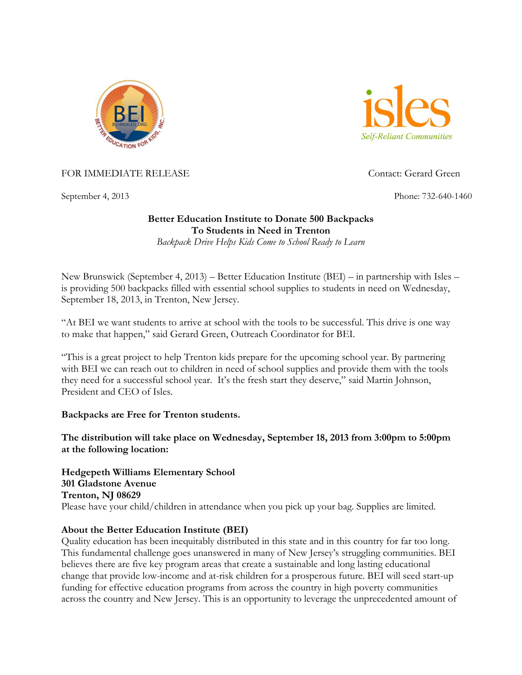



FOR IMMEDIATE RELEASE CONTACT CONTACT CONTACT: Gerard Green

September 4, 2013 Phone: 732-640-1460

## **Better Education Institute to Donate 500 Backpacks To Students in Need in Trenton**

*Backpack Drive Helps Kids Come to School Ready to Learn*

New Brunswick (September 4, 2013) – Better Education Institute (BEI) – in partnership with Isles – is providing 500 backpacks filled with essential school supplies to students in need on Wednesday, September 18, 2013, in Trenton, New Jersey.

"At BEI we want students to arrive at school with the tools to be successful. This drive is one way to make that happen," said Gerard Green, Outreach Coordinator for BEI.

"This is a great project to help Trenton kids prepare for the upcoming school year. By partnering with BEI we can reach out to children in need of school supplies and provide them with the tools they need for a successful school year. It's the fresh start they deserve," said Martin Johnson, President and CEO of Isles.

**Backpacks are Free for Trenton students.** 

**The distribution will take place on Wednesday, September 18, 2013 from 3:00pm to 5:00pm at the following location:**

**Hedgepeth Williams Elementary School 301 Gladstone Avenue Trenton, NJ 08629** Please have your child/children in attendance when you pick up your bag. Supplies are limited.

## **About the Better Education Institute (BEI)**

Quality education has been inequitably distributed in this state and in this country for far too long. This fundamental challenge goes unanswered in many of New Jersey's struggling communities. BEI believes there are five key program areas that create a sustainable and long lasting educational change that provide low-income and at-risk children for a prosperous future. BEI will seed start-up funding for effective education programs from across the country in high poverty communities across the country and New Jersey. This is an opportunity to leverage the unprecedented amount of